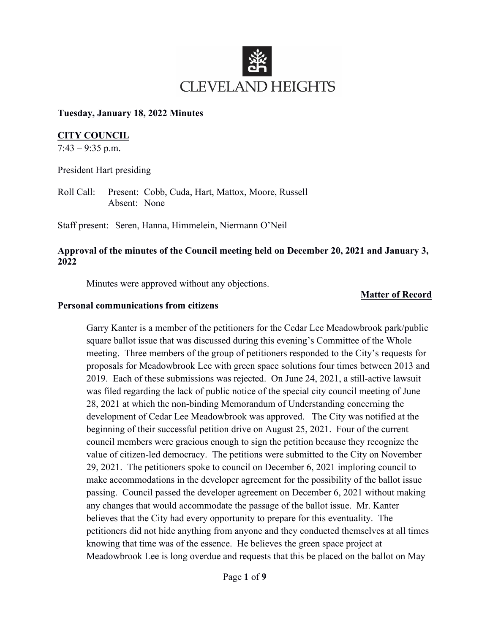

### **Tuesday, January 18, 2022 Minutes**

## **CITY COUNCIL**

 $7:43 - 9:35$  p.m.

President Hart presiding

Roll Call: Present: Cobb, Cuda, Hart, Mattox, Moore, Russell Absent: None

Staff present: Seren, Hanna, Himmelein, Niermann O'Neil

## **Approval of the minutes of the Council meeting held on December 20, 2021 and January 3, 2022**

Minutes were approved without any objections.

### **Matter of Record**

### **Personal communications from citizens**

Garry Kanter is a member of the petitioners for the Cedar Lee Meadowbrook park/public square ballot issue that was discussed during this evening's Committee of the Whole meeting. Three members of the group of petitioners responded to the City's requests for proposals for Meadowbrook Lee with green space solutions four times between 2013 and 2019. Each of these submissions was rejected. On June 24, 2021, a still-active lawsuit was filed regarding the lack of public notice of the special city council meeting of June 28, 2021 at which the non-binding Memorandum of Understanding concerning the development of Cedar Lee Meadowbrook was approved. The City was notified at the beginning of their successful petition drive on August 25, 2021. Four of the current council members were gracious enough to sign the petition because they recognize the value of citizen-led democracy. The petitions were submitted to the City on November 29, 2021. The petitioners spoke to council on December 6, 2021 imploring council to make accommodations in the developer agreement for the possibility of the ballot issue passing. Council passed the developer agreement on December 6, 2021 without making any changes that would accommodate the passage of the ballot issue. Mr. Kanter believes that the City had every opportunity to prepare for this eventuality. The petitioners did not hide anything from anyone and they conducted themselves at all times knowing that time was of the essence. He believes the green space project at Meadowbrook Lee is long overdue and requests that this be placed on the ballot on May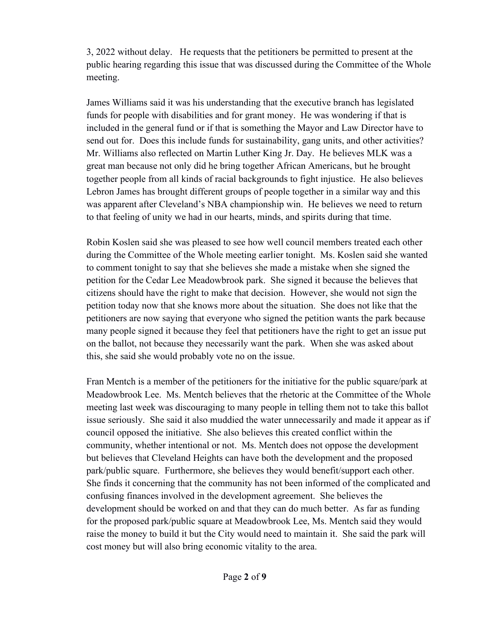3, 2022 without delay. He requests that the petitioners be permitted to present at the public hearing regarding this issue that was discussed during the Committee of the Whole meeting.

James Williams said it was his understanding that the executive branch has legislated funds for people with disabilities and for grant money. He was wondering if that is included in the general fund or if that is something the Mayor and Law Director have to send out for. Does this include funds for sustainability, gang units, and other activities? Mr. Williams also reflected on Martin Luther King Jr. Day. He believes MLK was a great man because not only did he bring together African Americans, but he brought together people from all kinds of racial backgrounds to fight injustice. He also believes Lebron James has brought different groups of people together in a similar way and this was apparent after Cleveland's NBA championship win. He believes we need to return to that feeling of unity we had in our hearts, minds, and spirits during that time.

Robin Koslen said she was pleased to see how well council members treated each other during the Committee of the Whole meeting earlier tonight. Ms. Koslen said she wanted to comment tonight to say that she believes she made a mistake when she signed the petition for the Cedar Lee Meadowbrook park. She signed it because the believes that citizens should have the right to make that decision. However, she would not sign the petition today now that she knows more about the situation. She does not like that the petitioners are now saying that everyone who signed the petition wants the park because many people signed it because they feel that petitioners have the right to get an issue put on the ballot, not because they necessarily want the park. When she was asked about this, she said she would probably vote no on the issue.

Fran Mentch is a member of the petitioners for the initiative for the public square/park at Meadowbrook Lee. Ms. Mentch believes that the rhetoric at the Committee of the Whole meeting last week was discouraging to many people in telling them not to take this ballot issue seriously. She said it also muddied the water unnecessarily and made it appear as if council opposed the initiative. She also believes this created conflict within the community, whether intentional or not. Ms. Mentch does not oppose the development but believes that Cleveland Heights can have both the development and the proposed park/public square. Furthermore, she believes they would benefit/support each other. She finds it concerning that the community has not been informed of the complicated and confusing finances involved in the development agreement. She believes the development should be worked on and that they can do much better. As far as funding for the proposed park/public square at Meadowbrook Lee, Ms. Mentch said they would raise the money to build it but the City would need to maintain it. She said the park will cost money but will also bring economic vitality to the area.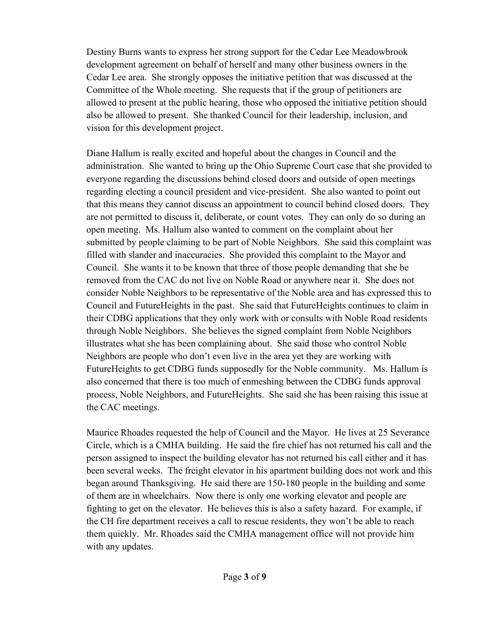Destiny Burns wants to express her strong support for the Cedar Lee Meadowbrook development agreement on behalf of herself and many other business owners in the Cedar Lee area. She strongly opposes the initiative petition that was discussed at the Committee of the Whole meeting. She requests that if the group of petitioners are allowed to present at the public hearing, those who opposed the initiative petition should also be allowed to present. She thanked Council for their leadership, inclusion, and vision for this development project.

Diane Hallum is really excited and hopeful about the changes in Council and the administration. She wanted to bring up the Ohio Supreme Court case that she provided to everyone regarding the discussions behind closed doors and outside of open meetings regarding electing a council president and vice-president. She also wanted to point out that this means they cannot discuss an appointment to council behind closed doors. They are not permitted to discuss it, deliberate, or count votes. They can only do so during an open meeting. Ms. Hallum also wanted to comment on the complaint about her submitted by people claiming to be part of Noble Neighbors. She said this complaint was filled with slander and inaccuracies. She provided this complaint to the Mayor and Council. She wants it to be known that three of those people demanding that she be removed from the CAC do not live on Noble Road or anywhere near it. She does not consider Noble Neighbors to be representative of the Noble area and has expressed this to Council and FutureHeights in the past. She said that FutureHeights continues to claim in their CDBG applications that they only work with or consults with Noble Road residents through Noble Neighbors. She believes the signed complaint from Noble Neighbors illustrates what she has been complaining about. She said those who control Noble Neighbors are people who don't even live in the area yet they are working with FutureHeights to get CDBG funds supposedly for the Noble community. Ms. Hallum is also concerned that there is too much of enmeshing between the CDBG funds approval process, Noble Neighbors, and FutureHeights. She said she has been raising this issue at the CAC meetings.

Maurice Rhoades requested the help of Council and the Mayor. He lives at 25 Severance Circle, which is a CMHA building. He said the fire chief has not returned his call and the person assigned to inspect the building elevator has not returned his call either and it has been several weeks. The freight elevator in his apartment building does not work and this began around Thanksgiving. He said there are 150-180 people in the building and some of them are in wheelchairs. Now there is only one working elevator and people are fighting to get on the elevator. He believes this is also a safety hazard. For example, if the CH fire department receives a call to rescue residents, they won't be able to reach them quickly. Mr. Rhoades said the CMHA management office will not provide him with any updates.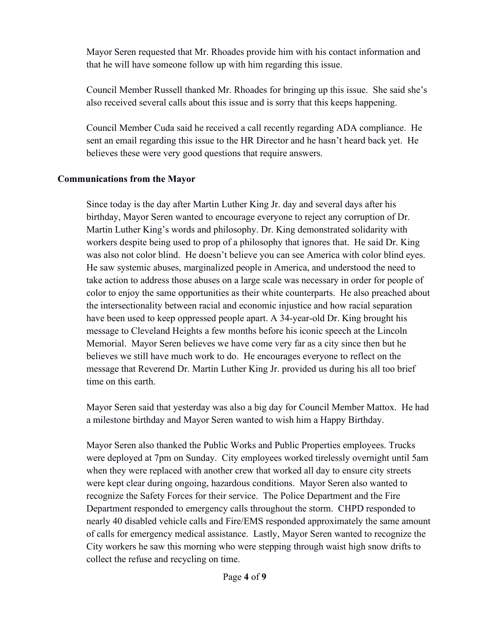Mayor Seren requested that Mr. Rhoades provide him with his contact information and that he will have someone follow up with him regarding this issue.

Council Member Russell thanked Mr. Rhoades for bringing up this issue. She said she's also received several calls about this issue and is sorry that this keeps happening.

Council Member Cuda said he received a call recently regarding ADA compliance. He sent an email regarding this issue to the HR Director and he hasn't heard back yet. He believes these were very good questions that require answers.

## **Communications from the Mayor**

Since today is the day after Martin Luther King Jr. day and several days after his birthday, Mayor Seren wanted to encourage everyone to reject any corruption of Dr. Martin Luther King's words and philosophy. Dr. King demonstrated solidarity with workers despite being used to prop of a philosophy that ignores that. He said Dr. King was also not color blind. He doesn't believe you can see America with color blind eyes. He saw systemic abuses, marginalized people in America, and understood the need to take action to address those abuses on a large scale was necessary in order for people of color to enjoy the same opportunities as their white counterparts. He also preached about the intersectionality between racial and economic injustice and how racial separation have been used to keep oppressed people apart. A 34-year-old Dr. King brought his message to Cleveland Heights a few months before his iconic speech at the Lincoln Memorial. Mayor Seren believes we have come very far as a city since then but he believes we still have much work to do. He encourages everyone to reflect on the message that Reverend Dr. Martin Luther King Jr. provided us during his all too brief time on this earth.

Mayor Seren said that yesterday was also a big day for Council Member Mattox. He had a milestone birthday and Mayor Seren wanted to wish him a Happy Birthday.

Mayor Seren also thanked the Public Works and Public Properties employees. Trucks were deployed at 7pm on Sunday. City employees worked tirelessly overnight until 5am when they were replaced with another crew that worked all day to ensure city streets were kept clear during ongoing, hazardous conditions. Mayor Seren also wanted to recognize the Safety Forces for their service. The Police Department and the Fire Department responded to emergency calls throughout the storm. CHPD responded to nearly 40 disabled vehicle calls and Fire/EMS responded approximately the same amount of calls for emergency medical assistance. Lastly, Mayor Seren wanted to recognize the City workers he saw this morning who were stepping through waist high snow drifts to collect the refuse and recycling on time.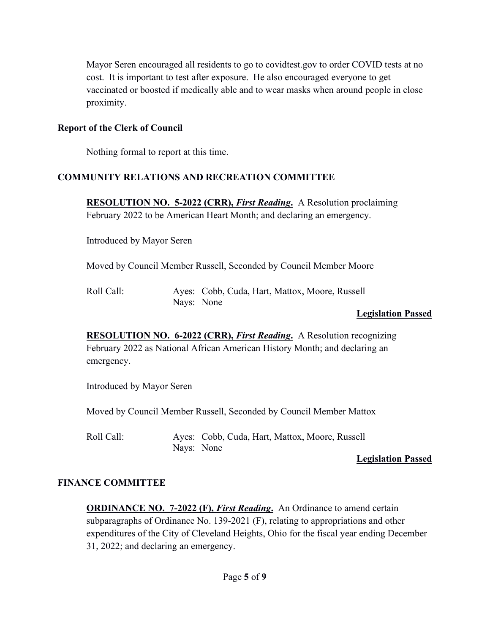Mayor Seren encouraged all residents to go to covidtest.gov to order COVID tests at no cost. It is important to test after exposure. He also encouraged everyone to get vaccinated or boosted if medically able and to wear masks when around people in close proximity.

### **Report of the Clerk of Council**

Nothing formal to report at this time.

### **COMMUNITY RELATIONS AND RECREATION COMMITTEE**

**RESOLUTION NO. 5-2022 (CRR),** *First Reading***.** A Resolution proclaiming February 2022 to be American Heart Month; and declaring an emergency.

Introduced by Mayor Seren

Moved by Council Member Russell, Seconded by Council Member Moore

| Roll Call: |            | Ayes: Cobb, Cuda, Hart, Mattox, Moore, Russell |
|------------|------------|------------------------------------------------|
|            | Nays: None |                                                |

#### **Legislation Passed**

**RESOLUTION NO. 6-2022 (CRR),** *First Reading***.** A Resolution recognizing February 2022 as National African American History Month; and declaring an emergency.

Introduced by Mayor Seren

Moved by Council Member Russell, Seconded by Council Member Mattox

Roll Call: Ayes: Cobb, Cuda, Hart, Mattox, Moore, Russell Nays: None

#### **Legislation Passed**

#### **FINANCE COMMITTEE**

**ORDINANCE NO. 7-2022 (F), First Reading.** An Ordinance to amend certain subparagraphs of Ordinance No. 139-2021 (F), relating to appropriations and other expenditures of the City of Cleveland Heights, Ohio for the fiscal year ending December 31, 2022; and declaring an emergency.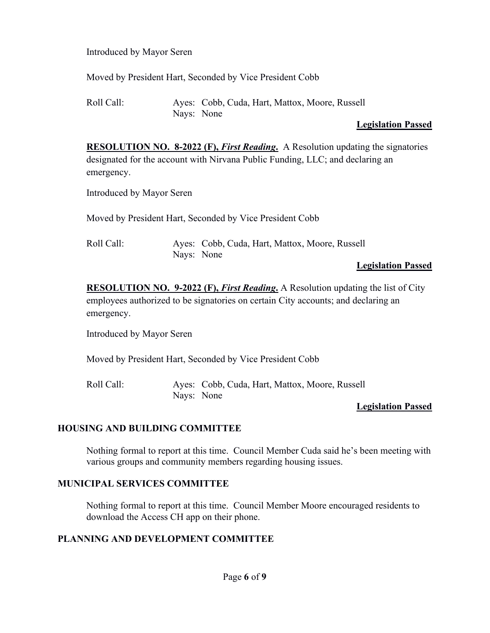Introduced by Mayor Seren

Moved by President Hart, Seconded by Vice President Cobb

Roll Call: Ayes: Cobb, Cuda, Hart, Mattox, Moore, Russell Nays: None

## **Legislation Passed**

**RESOLUTION NO. 8-2022 (F),** *First Reading***.** A Resolution updating the signatories designated for the account with Nirvana Public Funding, LLC; and declaring an emergency.

Introduced by Mayor Seren

Moved by President Hart, Seconded by Vice President Cobb

Roll Call: Ayes: Cobb, Cuda, Hart, Mattox, Moore, Russell Nays: None

### **Legislation Passed**

**RESOLUTION NO. 9-2022 (F),** *First Reading***.** A Resolution updating the list of City employees authorized to be signatories on certain City accounts; and declaring an emergency.

Introduced by Mayor Seren

Moved by President Hart, Seconded by Vice President Cobb

Roll Call: Ayes: Cobb, Cuda, Hart, Mattox, Moore, Russell Nays: None

## **Legislation Passed**

### **HOUSING AND BUILDING COMMITTEE**

Nothing formal to report at this time. Council Member Cuda said he's been meeting with various groups and community members regarding housing issues.

### **MUNICIPAL SERVICES COMMITTEE**

Nothing formal to report at this time. Council Member Moore encouraged residents to download the Access CH app on their phone.

## **PLANNING AND DEVELOPMENT COMMITTEE**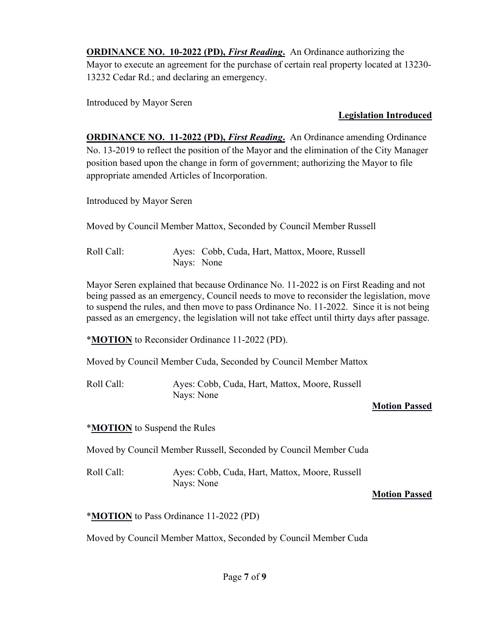**ORDINANCE NO. 10-2022 (PD),** *First Reading*. An Ordinance authorizing the Mayor to execute an agreement for the purchase of certain real property located at 13230- 13232 Cedar Rd.; and declaring an emergency.

Introduced by Mayor Seren

## **Legislation Introduced**

**ORDINANCE NO. 11-2022 (PD),** *First Reading***.** An Ordinance amending Ordinance No. 13-2019 to reflect the position of the Mayor and the elimination of the City Manager position based upon the change in form of government; authorizing the Mayor to file appropriate amended Articles of Incorporation.

Introduced by Mayor Seren

Moved by Council Member Mattox, Seconded by Council Member Russell

Roll Call: Ayes: Cobb, Cuda, Hart, Mattox, Moore, Russell Nays: None

Mayor Seren explained that because Ordinance No. 11-2022 is on First Reading and not being passed as an emergency, Council needs to move to reconsider the legislation, move to suspend the rules, and then move to pass Ordinance No. 11-2022. Since it is not being passed as an emergency, the legislation will not take effect until thirty days after passage.

\***MOTION** to Reconsider Ordinance 11-2022 (PD).

Moved by Council Member Cuda, Seconded by Council Member Mattox

Roll Call: Ayes: Cobb, Cuda, Hart, Mattox, Moore, Russell Nays: None

# **Motion Passed**

\***MOTION** to Suspend the Rules

Moved by Council Member Russell, Seconded by Council Member Cuda

Roll Call: Ayes: Cobb, Cuda, Hart, Mattox, Moore, Russell Nays: None

## **Motion Passed**

\***MOTION** to Pass Ordinance 11-2022 (PD)

Moved by Council Member Mattox, Seconded by Council Member Cuda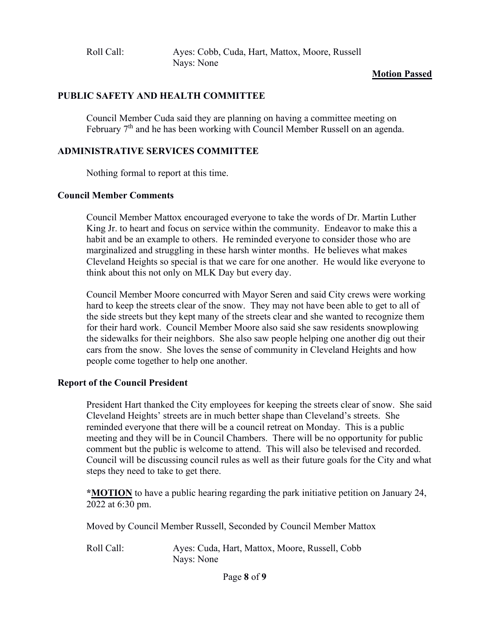Roll Call: Ayes: Cobb, Cuda, Hart, Mattox, Moore, Russell Nays: None

#### **Motion Passed**

#### **PUBLIC SAFETY AND HEALTH COMMITTEE**

Council Member Cuda said they are planning on having a committee meeting on February 7<sup>th</sup> and he has been working with Council Member Russell on an agenda.

### **ADMINISTRATIVE SERVICES COMMITTEE**

Nothing formal to report at this time.

#### **Council Member Comments**

Council Member Mattox encouraged everyone to take the words of Dr. Martin Luther King Jr. to heart and focus on service within the community. Endeavor to make this a habit and be an example to others. He reminded everyone to consider those who are marginalized and struggling in these harsh winter months. He believes what makes Cleveland Heights so special is that we care for one another. He would like everyone to think about this not only on MLK Day but every day.

Council Member Moore concurred with Mayor Seren and said City crews were working hard to keep the streets clear of the snow. They may not have been able to get to all of the side streets but they kept many of the streets clear and she wanted to recognize them for their hard work. Council Member Moore also said she saw residents snowplowing the sidewalks for their neighbors. She also saw people helping one another dig out their cars from the snow. She loves the sense of community in Cleveland Heights and how people come together to help one another.

#### **Report of the Council President**

President Hart thanked the City employees for keeping the streets clear of snow. She said Cleveland Heights' streets are in much better shape than Cleveland's streets. She reminded everyone that there will be a council retreat on Monday. This is a public meeting and they will be in Council Chambers. There will be no opportunity for public comment but the public is welcome to attend. This will also be televised and recorded. Council will be discussing council rules as well as their future goals for the City and what steps they need to take to get there.

**\*MOTION** to have a public hearing regarding the park initiative petition on January 24, 2022 at 6:30 pm.

Moved by Council Member Russell, Seconded by Council Member Mattox

Roll Call: Ayes: Cuda, Hart, Mattox, Moore, Russell, Cobb Nays: None